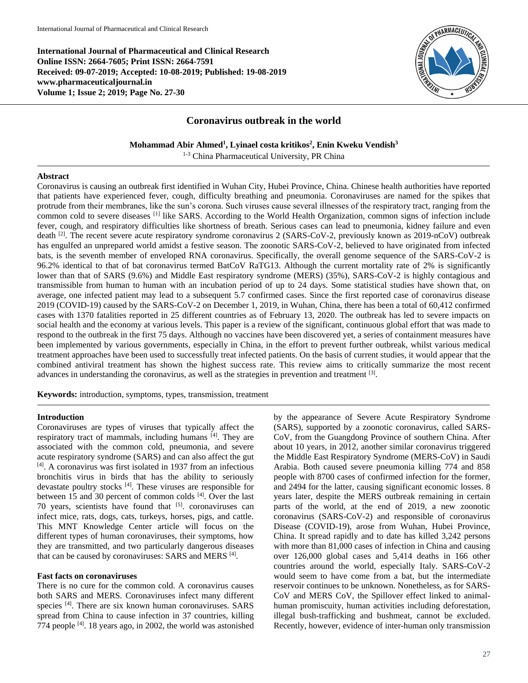**International Journal of Pharmaceutical and Clinical Research Online ISSN: 2664-7605; Print ISSN: 2664-7591 Received: 09-07-2019; Accepted: 10-08-2019; Published: 19-08-2019 www.pharmaceuticaljournal.in Volume 1; Issue 2; 2019; Page No. 27-30**



# **Coronavirus outbreak in the world**

**Mohammad Abir Ahmed<sup>1</sup> , Lyinael costa kritikos<sup>2</sup> , Enin Kweku Vendish<sup>3</sup>**

1-3 China Pharmaceutical University, PR China

#### **Abstract**

Coronavirus is causing an outbreak first identified in Wuhan City, Hubei Province, China. Chinese health authorities have reported that patients have experienced fever, cough, difficulty breathing and pneumonia. Coronaviruses are named for the spikes that protrude from their membranes, like the sun's corona. Such viruses cause several illnesses of the respiratory tract, ranging from the common cold to severe diseases [1] like SARS. According to the World Health Organization, common signs of infection include fever, cough, and respiratory difficulties like shortness of breath. Serious cases can lead to pneumonia, kidney failure and even death  $^{[2]}$ . The recent severe acute respiratory syndrome coronavirus 2 (SARS-CoV-2, previously known as 2019-nCoV) outbreak has engulfed an unprepared world amidst a festive season. The zoonotic SARS-CoV-2, believed to have originated from infected bats, is the seventh member of enveloped RNA coronavirus. Specifically, the overall genome sequence of the SARS-CoV-2 is 96.2% identical to that of bat coronavirus termed BatCoV RaTG13. Although the current mortality rate of 2% is significantly lower than that of SARS (9.6%) and Middle East respiratory syndrome (MERS) (35%), SARS-CoV-2 is highly contagious and transmissible from human to human with an incubation period of up to 24 days. Some statistical studies have shown that, on average, one infected patient may lead to a subsequent 5.7 confirmed cases. Since the first reported case of coronavirus disease 2019 (COVID-19) caused by the SARS-CoV-2 on December 1, 2019, in Wuhan, China, there has been a total of 60,412 confirmed cases with 1370 fatalities reported in 25 different countries as of February 13, 2020. The outbreak has led to severe impacts on social health and the economy at various levels. This paper is a review of the significant, continuous global effort that was made to respond to the outbreak in the first 75 days. Although no vaccines have been discovered yet, a series of containment measures have been implemented by various governments, especially in China, in the effort to prevent further outbreak, whilst various medical treatment approaches have been used to successfully treat infected patients. On the basis of current studies, it would appear that the combined antiviral treatment has shown the highest success rate. This review aims to critically summarize the most recent advances in understanding the coronavirus, as well as the strategies in prevention and treatment [3].

**Keywords:** introduction, symptoms, types, transmission, treatment

## **Introduction**

Coronaviruses are types of viruses that typically affect the respiratory tract of mammals, including humans [4]. They are associated with the common cold, pneumonia, and severe acute respiratory syndrome (SARS) and can also affect the gut [4]. A coronavirus was first isolated in 1937 from an infectious bronchitis virus in birds that has the ability to seriously devastate poultry stocks [4]. These viruses are responsible for between 15 and 30 percent of common colds [4]. Over the last 70 years, scientists have found that <sup>[5]</sup>. coronaviruses can infect mice, rats, dogs, cats, turkeys, horses, pigs, and cattle. This MNT Knowledge Center article will focus on the different types of human coronaviruses, their symptoms, how they are transmitted, and two particularly dangerous diseases that can be caused by coronaviruses: SARS and MERS [4].

#### **Fast facts on coronaviruses**

There is no cure for the common cold. A coronavirus causes both SARS and MERS. Coronaviruses infect many different species <sup>[4]</sup>. There are six known human coronaviruses. SARS spread from China to cause infection in 37 countries, killing 774 people [4] . 18 years ago, in 2002, the world was astonished

by the appearance of Severe Acute Respiratory Syndrome (SARS), supported by a zoonotic coronavirus, called SARS-CoV, from the Guangdong Province of southern China. After about 10 years, in 2012, another similar coronavirus triggered the Middle East Respiratory Syndrome (MERS-CoV) in Saudi Arabia. Both caused severe pneumonia killing 774 and 858 people with 8700 cases of confirmed infection for the former, and 2494 for the latter, causing significant economic losses. 8 years later, despite the MERS outbreak remaining in certain parts of the world, at the end of 2019, a new zoonotic coronavirus (SARS-CoV-2) and responsible of coronavirus Disease (COVID-19), arose from Wuhan, Hubei Province, China. It spread rapidly and to date has killed 3,242 persons with more than 81,000 cases of infection in China and causing over 126,000 global cases and 5,414 deaths in 166 other countries around the world, especially Italy. SARS-CoV-2 would seem to have come from a bat, but the intermediate reservoir continues to be unknown. Nonetheless, as for SARS-CoV and MERS CoV, the Spillover effect linked to animalhuman promiscuity, human activities including deforestation, illegal bush-trafficking and bushmeat, cannot be excluded. Recently, however, evidence of inter-human only transmission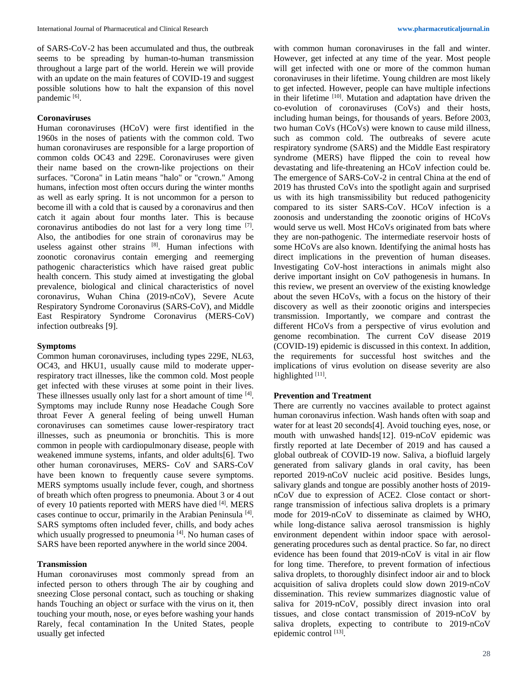of SARS-CoV-2 has been accumulated and thus, the outbreak seems to be spreading by human-to-human transmission throughout a large part of the world. Herein we will provide with an update on the main features of COVID-19 and suggest possible solutions how to halt the expansion of this novel pandemic [6].

### **Coronaviruses**

Human coronaviruses (HCoV) were first identified in the 1960s in the noses of patients with the common cold. Two human coronaviruses are responsible for a large proportion of common colds OC43 and 229E. Coronaviruses were given their name based on the crown-like projections on their surfaces. "Corona" in Latin means "halo" or "crown." Among humans, infection most often occurs during the winter months as well as early spring. It is not uncommon for a person to become ill with a cold that is caused by a coronavirus and then catch it again about four months later. This is because coronavirus antibodies do not last for a very long time [7]. Also, the antibodies for one strain of coronavirus may be useless against other strains [8]. Human infections with zoonotic coronavirus contain emerging and reemerging pathogenic characteristics which have raised great public health concern. This study aimed at investigating the global prevalence, biological and clinical characteristics of novel coronavirus, Wuhan China (2019-nCoV), Severe Acute Respiratory Syndrome Coronavirus (SARS-CoV), and Middle East Respiratory Syndrome Coronavirus (MERS-CoV) infection outbreaks [9].

## **Symptoms**

Common human coronaviruses, including types 229E, NL63, OC43, and HKU1, usually cause mild to moderate upperrespiratory tract illnesses, like the common cold. Most people get infected with these viruses at some point in their lives. These illnesses usually only last for a short amount of time [4]. Symptoms may include Runny nose Headache Cough Sore throat Fever A general feeling of being unwell Human coronaviruses can sometimes cause lower-respiratory tract illnesses, such as pneumonia or bronchitis. This is more common in people with cardiopulmonary disease, people with weakened immune systems, infants, and older adults[6]. Two other human coronaviruses, MERS- CoV and SARS-CoV have been known to frequently cause severe symptoms. MERS symptoms usually include fever, cough, and shortness of breath which often progress to pneumonia. About 3 or 4 out of every 10 patients reported with MERS have died [4]. MERS cases continue to occur, primarily in the Arabian Peninsula<sup>[4]</sup>. SARS symptoms often included fever, chills, and body aches which usually progressed to pneumonia [4]. No human cases of SARS have been reported anywhere in the world since 2004.

#### **Transmission**

Human coronaviruses most commonly spread from an infected person to others through The air by coughing and sneezing Close personal contact, such as touching or shaking hands Touching an object or surface with the virus on it, then touching your mouth, nose, or eyes before washing your hands Rarely, fecal contamination In the United States, people usually get infected

with common human coronaviruses in the fall and winter. However, get infected at any time of the year. Most people will get infected with one or more of the common human coronaviruses in their lifetime. Young children are most likely to get infected. However, people can have multiple infections in their lifetime [10]. Mutation and adaptation have driven the co-evolution of coronaviruses (CoVs) and their hosts, including human beings, for thousands of years. Before 2003, two human CoVs (HCoVs) were known to cause mild illness, such as common cold. The outbreaks of severe acute respiratory syndrome (SARS) and the Middle East respiratory syndrome (MERS) have flipped the coin to reveal how devastating and life-threatening an HCoV infection could be. The emergence of SARS-CoV-2 in central China at the end of 2019 has thrusted CoVs into the spotlight again and surprised us with its high transmissibility but reduced pathogenicity compared to its sister SARS-CoV. HCoV infection is a zoonosis and understanding the zoonotic origins of HCoVs would serve us well. Most HCoVs originated from bats where they are non-pathogenic. The intermediate reservoir hosts of some HCoVs are also known. Identifying the animal hosts has direct implications in the prevention of human diseases. Investigating CoV-host interactions in animals might also derive important insight on CoV pathogenesis in humans. In this review, we present an overview of the existing knowledge about the seven HCoVs, with a focus on the history of their discovery as well as their zoonotic origins and interspecies transmission. Importantly, we compare and contrast the different HCoVs from a perspective of virus evolution and genome recombination. The current CoV disease 2019 (COVID-19) epidemic is discussed in this context. In addition, the requirements for successful host switches and the implications of virus evolution on disease severity are also highlighted [11].

#### **Prevention and Treatment**

There are currently no vaccines available to protect against human coronavirus infection. Wash hands often with soap and water for at least 20 seconds[4]. Avoid touching eyes, nose, or mouth with unwashed hands[12]. 019-nCoV epidemic was firstly reported at late December of 2019 and has caused a global outbreak of COVID-19 now. Saliva, a biofluid largely generated from salivary glands in oral cavity, has been reported 2019-nCoV nucleic acid positive. Besides lungs, salivary glands and tongue are possibly another hosts of 2019 nCoV due to expression of ACE2. Close contact or shortrange transmission of infectious saliva droplets is a primary mode for 2019-nCoV to disseminate as claimed by WHO, while long-distance saliva aerosol transmission is highly environment dependent within indoor space with aerosolgenerating procedures such as dental practice. So far, no direct evidence has been found that 2019-nCoV is vital in air flow for long time. Therefore, to prevent formation of infectious saliva droplets, to thoroughly disinfect indoor air and to block acquisition of saliva droplets could slow down 2019-nCoV dissemination. This review summarizes diagnostic value of saliva for 2019-nCoV, possibly direct invasion into oral tissues, and close contact transmission of 2019-nCoV by saliva droplets, expecting to contribute to 2019-nCoV epidemic control [13].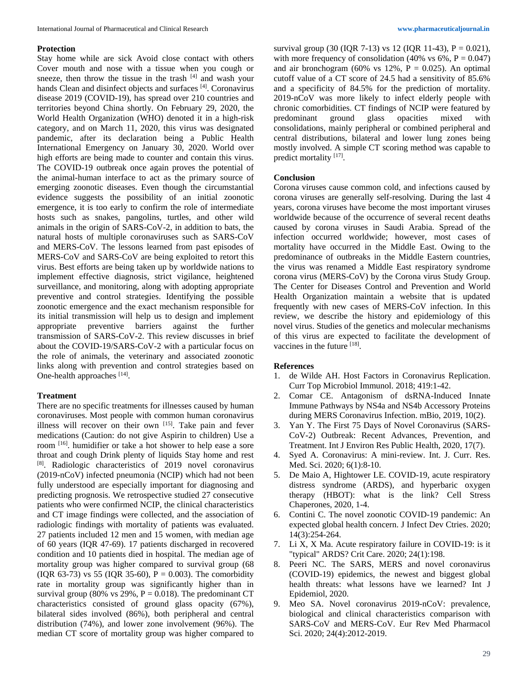### **Protection**

Stay home while are sick Avoid close contact with others Cover mouth and nose with a tissue when you cough or sneeze, then throw the tissue in the trash [4] and wash your hands Clean and disinfect objects and surfaces<sup>[4]</sup>. Coronavirus disease 2019 (COVID-19), has spread over 210 countries and territories beyond China shortly. On February 29, 2020, the World Health Organization (WHO) denoted it in a high-risk category, and on March 11, 2020, this virus was designated pandemic, after its declaration being a Public Health International Emergency on January 30, 2020. World over high efforts are being made to counter and contain this virus. The COVID-19 outbreak once again proves the potential of the animal-human interface to act as the primary source of emerging zoonotic diseases. Even though the circumstantial evidence suggests the possibility of an initial zoonotic emergence, it is too early to confirm the role of intermediate hosts such as snakes, pangolins, turtles, and other wild animals in the origin of SARS-CoV-2, in addition to bats, the natural hosts of multiple coronaviruses such as SARS-CoV and MERS-CoV. The lessons learned from past episodes of MERS-CoV and SARS-CoV are being exploited to retort this virus. Best efforts are being taken up by worldwide nations to implement effective diagnosis, strict vigilance, heightened surveillance, and monitoring, along with adopting appropriate preventive and control strategies. Identifying the possible zoonotic emergence and the exact mechanism responsible for its initial transmission will help us to design and implement appropriate preventive barriers against the further transmission of SARS-CoV-2. This review discusses in brief about the COVID-19/SARS-CoV-2 with a particular focus on the role of animals, the veterinary and associated zoonotic links along with prevention and control strategies based on One-health approaches [14].

## **Treatment**

There are no specific treatments for illnesses caused by human coronaviruses. Most people with common human coronavirus illness will recover on their own [15]. Take pain and fever medications (Caution: do not give Aspirin to children) Use a room <sup>[16]</sup>. humidifier or take a hot shower to help ease a sore throat and cough Drink plenty of liquids Stay home and rest [8] . Radiologic characteristics of 2019 novel coronavirus (2019-nCoV) infected pneumonia (NCIP) which had not been fully understood are especially important for diagnosing and predicting prognosis. We retrospective studied 27 consecutive patients who were confirmed NCIP, the clinical characteristics and CT image findings were collected, and the association of radiologic findings with mortality of patients was evaluated. 27 patients included 12 men and 15 women, with median age of 60 years (IQR 47-69). 17 patients discharged in recovered condition and 10 patients died in hospital. The median age of mortality group was higher compared to survival group (68 (IQR 63-73) vs 55 (IQR 35-60),  $P = 0.003$ ). The comorbidity rate in mortality group was significantly higher than in survival group (80% vs 29%,  $P = 0.018$ ). The predominant CT characteristics consisted of ground glass opacity (67%), bilateral sides involved (86%), both peripheral and central distribution (74%), and lower zone involvement (96%). The median CT score of mortality group was higher compared to

survival group (30 (IQR 7-13) vs 12 (IQR 11-43),  $P = 0.021$ ), with more frequency of consolidation (40% vs  $6\%$ ,  $P = 0.047$ ) and air bronchogram (60% vs 12%,  $P = 0.025$ ). An optimal cutoff value of a CT score of 24.5 had a sensitivity of 85.6% and a specificity of 84.5% for the prediction of mortality. 2019-nCoV was more likely to infect elderly people with chronic comorbidities. CT findings of NCIP were featured by predominant ground glass opacities mixed with consolidations, mainly peripheral or combined peripheral and central distributions, bilateral and lower lung zones being mostly involved. A simple CT scoring method was capable to predict mortality<sup>[17]</sup>.

## **Conclusion**

Corona viruses cause common cold, and infections caused by corona viruses are generally self-resolving. During the last 4 years, corona viruses have become the most important viruses worldwide because of the occurrence of several recent deaths caused by corona viruses in Saudi Arabia. Spread of the infection occurred worldwide; however, most cases of mortality have occurred in the Middle East. Owing to the predominance of outbreaks in the Middle Eastern countries, the virus was renamed a Middle East respiratory syndrome corona virus (MERS-CoV) by the Corona virus Study Group. The Center for Diseases Control and Prevention and World Health Organization maintain a website that is updated frequently with new cases of MERS-CoV infection. In this review, we describe the history and epidemiology of this novel virus. Studies of the genetics and molecular mechanisms of this virus are expected to facilitate the development of vaccines in the future [18].

## **References**

- 1. de Wilde AH. Host Factors in Coronavirus Replication. Curr Top Microbiol Immunol. 2018; 419:1-42.
- 2. Comar CE. Antagonism of dsRNA-Induced Innate Immune Pathways by NS4a and NS4b Accessory Proteins during MERS Coronavirus Infection. mBio, 2019, 10(2).
- 3. Yan Y. The First 75 Days of Novel Coronavirus (SARS-CoV-2) Outbreak: Recent Advances, Prevention, and Treatment. Int J Environ Res Public Health, 2020, 17(7).
- 4. Syed A. Coronavirus: A mini-review. Int. J. Curr. Res. Med. Sci. 2020; 6(1):8-10.
- 5. De Maio A, Hightower LE. COVID-19, acute respiratory distress syndrome (ARDS), and hyperbaric oxygen therapy (HBOT): what is the link? Cell Stress Chaperones, 2020, 1-4.
- 6. Contini C. The novel zoonotic COVID-19 pandemic: An expected global health concern. J Infect Dev Ctries. 2020; 14(3):254-264.
- 7. Li X, X Ma. Acute respiratory failure in COVID-19: is it "typical" ARDS? Crit Care. 2020; 24(1):198.
- 8. Peeri NC. The SARS, MERS and novel coronavirus (COVID-19) epidemics, the newest and biggest global health threats: what lessons have we learned? Int J Epidemiol, 2020.
- 9. Meo SA. Novel coronavirus 2019-nCoV: prevalence, biological and clinical characteristics comparison with SARS-CoV and MERS-CoV. Eur Rev Med Pharmacol Sci. 2020; 24(4):2012-2019.